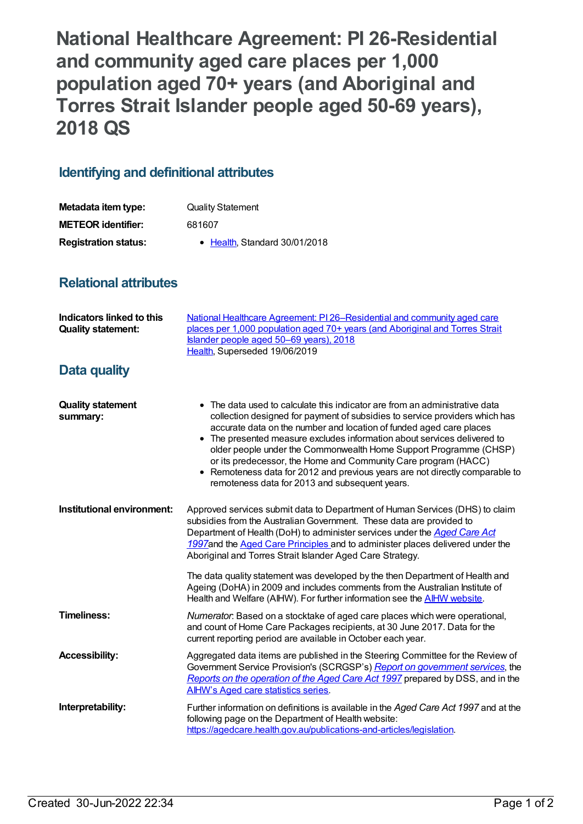**National Healthcare Agreement: PI 26-Residential and community aged care places per 1,000 population aged 70+ years (and Aboriginal and Torres Strait Islander people aged 50-69 years), 2018 QS**

## **Identifying and definitional attributes**

| Metadata item type:         | <b>Quality Statement</b>              |
|-----------------------------|---------------------------------------|
| <b>METEOR identifier:</b>   | 681607                                |
| <b>Registration status:</b> | $\bullet$ Health. Standard 30/01/2018 |

## **Relational attributes**

| Indicators linked to this<br><b>Quality statement:</b> | National Healthcare Agreement: PI 26-Residential and community aged care<br>places per 1,000 population aged 70+ years (and Aboriginal and Torres Strait<br>Islander people aged 50-69 years), 2018<br>Health, Superseded 19/06/2019                                                                                                                                                                                                                                                                                                                                                   |
|--------------------------------------------------------|----------------------------------------------------------------------------------------------------------------------------------------------------------------------------------------------------------------------------------------------------------------------------------------------------------------------------------------------------------------------------------------------------------------------------------------------------------------------------------------------------------------------------------------------------------------------------------------|
| <b>Data quality</b>                                    |                                                                                                                                                                                                                                                                                                                                                                                                                                                                                                                                                                                        |
| <b>Quality statement</b><br>summary:                   | • The data used to calculate this indicator are from an administrative data<br>collection designed for payment of subsidies to service providers which has<br>accurate data on the number and location of funded aged care places<br>• The presented measure excludes information about services delivered to<br>older people under the Commonwealth Home Support Programme (CHSP)<br>or its predecessor, the Home and Community Care program (HACC)<br>• Remoteness data for 2012 and previous years are not directly comparable to<br>remoteness data for 2013 and subsequent years. |
| Institutional environment:                             | Approved services submit data to Department of Human Services (DHS) to claim<br>subsidies from the Australian Government. These data are provided to<br>Department of Health (DoH) to administer services under the Aged Care Act<br>1997and the Aged Care Principles and to administer places delivered under the<br>Aboriginal and Torres Strait Islander Aged Care Strategy.                                                                                                                                                                                                        |
|                                                        | The data quality statement was developed by the then Department of Health and<br>Ageing (DoHA) in 2009 and includes comments from the Australian Institute of<br>Health and Welfare (AIHW). For further information see the <b>AIHW</b> website.                                                                                                                                                                                                                                                                                                                                       |
| <b>Timeliness:</b>                                     | Numerator. Based on a stocktake of aged care places which were operational,<br>and count of Home Care Packages recipients, at 30 June 2017. Data for the<br>current reporting period are available in October each year.                                                                                                                                                                                                                                                                                                                                                               |
| <b>Accessibility:</b>                                  | Aggregated data items are published in the Steering Committee for the Review of<br>Government Service Provision's (SCRGSP's) Report on government services, the<br>Reports on the operation of the Aged Care Act 1997 prepared by DSS, and in the<br><b>AIHW's Aged care statistics series.</b>                                                                                                                                                                                                                                                                                        |
| Interpretability:                                      | Further information on definitions is available in the Aged Care Act 1997 and at the<br>following page on the Department of Health website:<br>https://agedcare.health.gov.au/publications-and-articles/legislation.                                                                                                                                                                                                                                                                                                                                                                   |